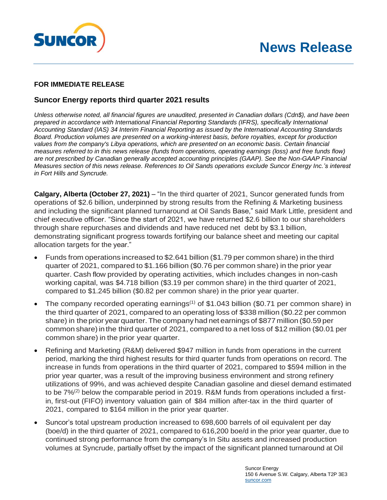



## **FOR IMMEDIATE RELEASE**

## **Suncor Energy reports third quarter 2021 results**

*Unless otherwise noted, all financial figures are unaudited, presented in Canadian dollars (Cdn\$), and have been prepared in accordance with International Financial Reporting Standards (IFRS), specifically International Accounting Standard (IAS) 34 Interim Financial Reporting as issued by the International Accounting Standards Board. Production volumes are presented on a working-interest basis, before royalties, except for production*  values from the company's Libya operations, which are presented on an economic basis. Certain financial *measures referred to in this news release (funds from operations, operating earnings (loss) and free funds flow) are not prescribed by Canadian generally accepted accounting principles (GAAP). See the Non-GAAP Financial Measures section of this news release. References to Oil Sands operations exclude Suncor Energy Inc.'s interest in Fort Hills and Syncrude.*

**Calgary, Alberta (October 27, 2021)** – "In the third quarter of 2021, Suncor generated funds from operations of \$2.6 billion, underpinned by strong results from the Refining & Marketing business and including the significant planned turnaround at Oil Sands Base," said Mark Little, president and chief executive officer. "Since the start of 2021, we have returned \$2.6 billion to our shareholders through share repurchases and dividends and have reduced net debt by \$3.1 billion, demonstrating significant progress towards fortifying our balance sheet and meeting our capital allocation targets for the year."

- Funds from operations increased to \$2.641 billion (\$1.79 per common share) in the third quarter of 2021, compared to \$1.166 billion (\$0.76 per common share) in the prior year quarter. Cash flow provided by operating activities, which includes changes in non-cash working capital, was \$4.718 billion (\$3.19 per common share) in the third quarter of 2021, compared to \$1.245 billion (\$0.82 per common share) in the prior year quarter.
- The company recorded operating earnings<sup>(1)</sup> of \$1.043 billion (\$0.71 per common share) in the third quarter of 2021, compared to an operating loss of \$338 million (\$0.22 per common share) in the prior year quarter. The companyhad net earnings of \$877 million (\$0.59 per common share)inthe third quarter of 2021, compared to a net loss of \$12 million (\$0.01 per common share) in the prior year quarter.
- Refining and Marketing (R&M) delivered \$947 million in funds from operations in the current period, marking the third highest results for third quarter funds from operations on record. The increase in funds from operations in the third quarter of 2021, compared to \$594 million in the prior year quarter, was a result of the improving business environment and strong refinery utilizations of 99%, and was achieved despite Canadian gasoline and diesel demand estimated to be 7%<sup>(2)</sup> below the comparable period in 2019. R&M funds from operations included a firstin, first-out (FIFO) inventory valuation gain of \$84 million after-tax in the third quarter of 2021, compared to \$164 million in the prior year quarter.
- Suncor's total upstream production increased to 698,600 barrels of oil equivalent per day (boe/d) in the third quarter of 2021, compared to 616,200 boe/d in the prior year quarter, due to continued strong performance from the company's In Situ assets and increased production volumes at Syncrude, partially offset by the impact of the significant planned turnaround at Oil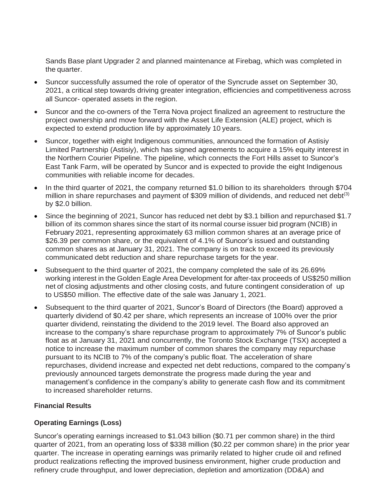Sands Base plant Upgrader 2 and planned maintenance at Firebag, which was completed in the quarter.

- Suncor successfully assumed the role of operator of the Syncrude asset on September 30, 2021, a critical step towards driving greater integration, efficiencies and competitiveness across all Suncor- operated assets in the region.
- Suncor and the co-owners of the Terra Nova project finalized an agreement to restructure the project ownership and move forward with the Asset Life Extension (ALE) project, which is expected to extend production life by approximately 10 years.
- Suncor, together with eight Indigenous communities, announced the formation of Astisiy Limited Partnership (Astisiy), which has signed agreements to acquire a 15% equity interest in the Northern Courier Pipeline. The pipeline, which connects the Fort Hills asset to Suncor's East Tank Farm, will be operated by Suncor and is expected to provide the eight Indigenous communities with reliable income for decades.
- In the third quarter of 2021, the company returned \$1.0 billion to its shareholders through \$704 million in share repurchases and payment of \$309 million of dividends, and reduced net debt<sup>(3)</sup> by \$2.0 billion.
- Since the beginning of 2021, Suncor has reduced net debt by \$3.1 billion and repurchased \$1.7 billion of its common shares since the start of its normal course issuer bid program (NCIB) in February 2021, representing approximately 63 million common shares at an average price of \$26.39 per common share, or the equivalent of 4.1% of Suncor's issued and outstanding common shares as at January 31, 2021. The company is on track to exceed its previously communicated debt reduction and share repurchase targets for the year.
- Subsequent to the third quarter of 2021, the company completed the sale of its 26.69% working interest in the Golden Eagle Area Development for after-tax proceeds of US\$250 million net of closing adjustments and other closing costs, and future contingent consideration of up to US\$50 million. The effective date of the sale was January 1, 2021.
- Subsequent to the third quarter of 2021, Suncor's Board of Directors (the Board) approved a quarterly dividend of \$0.42 per share, which represents an increase of 100% over the prior quarter dividend, reinstating the dividend to the 2019 level. The Board also approved an increase to the company's share repurchase program to approximately 7% of Suncor's public float as at January 31, 2021 and concurrently, the Toronto Stock Exchange (TSX) accepted a notice to increase the maximum number of common shares the company may repurchase pursuant to its NCIB to 7% of the company's public float. The acceleration of share repurchases, dividend increase and expected net debt reductions, compared to the company's previously announced targets demonstrate the progress made during the year and management's confidence in the company's ability to generate cash flow and its commitment to increased shareholder returns.

# **Financial Results**

# **Operating Earnings (Loss)**

Suncor's operating earnings increased to \$1.043 billion (\$0.71 per common share) in the third quarter of 2021, from an operating loss of \$338 million (\$0.22 per common share) in the prior year quarter. The increase in operating earnings was primarily related to higher crude oil and refined product realizations reflecting the improved business environment, higher crude production and refinery crude throughput, and lower depreciation, depletion and amortization (DD&A) and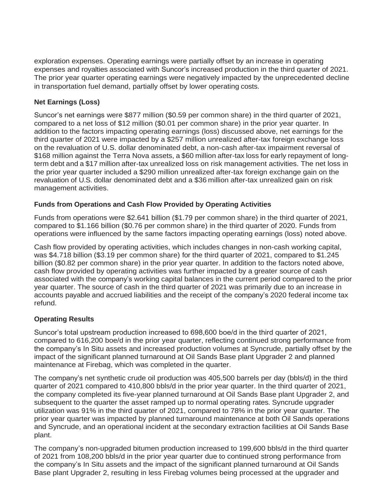exploration expenses. Operating earnings were partially offset by an increase in operating expenses and royalties associated with Suncor's increased production in the third quarter of 2021. The prior year quarter operating earnings were negatively impacted by the unprecedented decline in transportation fuel demand, partially offset by lower operating costs.

## **Net Earnings (Loss)**

Suncor's net earnings were \$877 million (\$0.59 per common share) in the third quarter of 2021, compared to a net loss of \$12 million (\$0.01 per common share) in the prior year quarter. In addition to the factors impacting operating earnings (loss) discussed above, net earnings for the third quarter of 2021 were impacted by a \$257 million unrealized after-tax foreign exchange loss on the revaluation of U.S. dollar denominated debt, a non-cash after-tax impairment reversal of \$168 million against the Terra Nova assets, a \$60 million after-tax loss for early repayment of longterm debt and a \$17 million after-tax unrealized loss on risk management activities. The net loss in the prior year quarter included a \$290 million unrealized after-tax foreign exchange gain on the revaluation of U.S. dollar denominated debt and a \$36 million after-tax unrealized gain on risk management activities.

## **Funds from Operations and Cash Flow Provided by Operating Activities**

Funds from operations were \$2.641 billion (\$1.79 per common share) in the third quarter of 2021, compared to \$1.166 billion (\$0.76 per common share) in the third quarter of 2020. Funds from operations were influenced by the same factors impacting operating earnings (loss) noted above.

Cash flow provided by operating activities, which includes changes in non-cash working capital, was \$4.718 billion (\$3.19 per common share) for the third quarter of 2021, compared to \$1.245 billion (\$0.82 per common share) in the prior year quarter. In addition to the factors noted above, cash flow provided by operating activities was further impacted by a greater source of cash associated with the company's working capital balances in the current period compared to the prior year quarter. The source of cash in the third quarter of 2021 was primarily due to an increase in accounts payable and accrued liabilities and the receipt of the company's 2020 federal income tax refund.

## **Operating Results**

Suncor's total upstream production increased to 698,600 boe/d in the third quarter of 2021, compared to 616,200 boe/d in the prior year quarter, reflecting continued strong performance from the company's In Situ assets and increased production volumes at Syncrude, partially offset by the impact of the significant planned turnaround at Oil Sands Base plant Upgrader 2 and planned maintenance at Firebag, which was completed in the quarter.

The company's net synthetic crude oil production was 405,500 barrels per day (bbls/d) in the third quarter of 2021 compared to 410,800 bbls/d in the prior year quarter. In the third quarter of 2021, the company completed its five-year planned turnaround at Oil Sands Base plant Upgrader 2, and subsequent to the quarter the asset ramped up to normal operating rates. Syncrude upgrader utilization was 91% in the third quarter of 2021, compared to 78% in the prior year quarter. The prior year quarter was impacted by planned turnaround maintenance at both Oil Sands operations and Syncrude, and an operational incident at the secondary extraction facilities at Oil Sands Base plant.

The company's non-upgraded bitumen production increased to 199,600 bbls/d in the third quarter of 2021 from 108,200 bbls/d in the prior year quarter due to continued strong performance from the company's In Situ assets and the impact of the significant planned turnaround at Oil Sands Base plant Upgrader 2, resulting in less Firebag volumes being processed at the upgrader and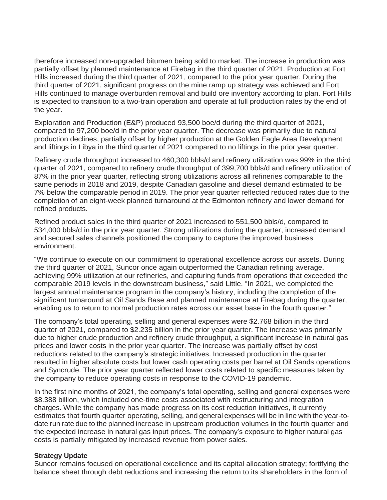therefore increased non-upgraded bitumen being sold to market. The increase in production was partially offset by planned maintenance at Firebag in the third quarter of 2021. Production at Fort Hills increased during the third quarter of 2021, compared to the prior year quarter. During the third quarter of 2021, significant progress on the mine ramp up strategy was achieved and Fort Hills continued to manage overburden removal and build ore inventory according to plan. Fort Hills is expected to transition to a two-train operation and operate at full production rates by the end of the year.

Exploration and Production (E&P) produced 93,500 boe/d during the third quarter of 2021, compared to 97,200 boe/d in the prior year quarter. The decrease was primarily due to natural production declines, partially offset by higher production at the Golden Eagle Area Development and liftings in Libya in the third quarter of 2021 compared to no liftings in the prior year quarter.

Refinery crude throughput increased to 460,300 bbls/d and refinery utilization was 99% in the third quarter of 2021, compared to refinery crude throughput of 399,700 bbls/d and refinery utilization of 87% in the prior year quarter, reflecting strong utilizations across all refineries comparable to the same periods in 2018 and 2019, despite Canadian gasoline and diesel demand estimated to be 7% below the comparable period in 2019. The prior year quarter reflected reduced rates due to the completion of an eight-week planned turnaround at the Edmonton refinery and lower demand for refined products.

Refined product sales in the third quarter of 2021 increased to 551,500 bbls/d, compared to 534,000 bbls/d in the prior year quarter. Strong utilizations during the quarter, increased demand and secured sales channels positioned the company to capture the improved business environment.

"We continue to execute on our commitment to operational excellence across our assets. During the third quarter of 2021, Suncor once again outperformed the Canadian refining average, achieving 99% utilization at our refineries, and capturing funds from operations that exceeded the comparable 2019 levels in the downstream business," said Little. "In 2021, we completed the largest annual maintenance program in the company's history, including the completion of the significant turnaround at Oil Sands Base and planned maintenance at Firebag during the quarter, enabling us to return to normal production rates across our asset base in the fourth quarter."

The company's total operating, selling and general expenses were \$2.768 billion in the third quarter of 2021, compared to \$2.235 billion in the prior year quarter. The increase was primarily due to higher crude production and refinery crude throughput, a significant increase in natural gas prices and lower costs in the prior year quarter. The increase was partially offset by cost reductions related to the company's strategic initiatives. Increased production in the quarter resulted in higher absolute costs but lower cash operating costs per barrel at Oil Sands operations and Syncrude. The prior year quarter reflected lower costs related to specific measures taken by the company to reduce operating costs in response to the COVID-19 pandemic.

In the first nine months of 2021, the company's total operating, selling and general expenses were \$8.388 billion, which included one-time costs associated with restructuring and integration charges. While the company has made progress on its cost reduction initiatives, it currently estimates that fourth quarter operating, selling, and general expenses will be in line with the year-todate run rate due to the planned increase in upstream production volumes in the fourth quarter and the expected increase in natural gas input prices. The company's exposure to higher natural gas costs is partially mitigated by increased revenue from power sales.

#### **Strategy Update**

Suncor remains focused on operational excellence and its capital allocation strategy; fortifying the balance sheet through debt reductions and increasing the return to its shareholders in the form of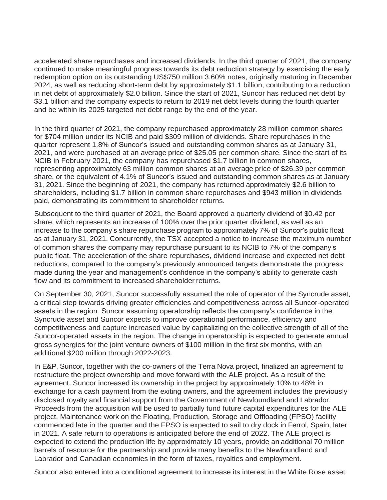accelerated share repurchases and increased dividends. In the third quarter of 2021, the company continued to make meaningful progress towards its debt reduction strategy by exercising the early redemption option on its outstanding US\$750 million 3.60% notes, originally maturing in December 2024, as well as reducing short-term debt by approximately \$1.1 billion, contributing to a reduction in net debt of approximately \$2.0 billion. Since the start of 2021, Suncor has reduced net debt by \$3.1 billion and the company expects to return to 2019 net debt levels during the fourth quarter and be within its 2025 targeted net debt range by the end of the year.

In the third quarter of 2021, the company repurchased approximately 28 million common shares for \$704 million under its NCIB and paid \$309 million of dividends. Share repurchases in the quarter represent 1.8% of Suncor's issued and outstanding common shares as at January 31, 2021, and were purchased at an average price of \$25.05 per common share. Since the start of its NCIB in February 2021, the company has repurchased \$1.7 billion in common shares, representing approximately 63 million common shares at an average price of \$26.39 per common share, or the equivalent of 4.1% of Suncor's issued and outstanding common shares as at January 31, 2021. Since the beginning of 2021, the company has returned approximately \$2.6 billion to shareholders, including \$1.7 billion in common share repurchases and \$943 million in dividends paid, demonstrating its commitment to shareholder returns.

Subsequent to the third quarter of 2021, the Board approved a quarterly dividend of \$0.42 per share, which represents an increase of 100% over the prior quarter dividend, as well as an increase to the company's share repurchase program to approximately 7% of Suncor's public float as at January 31, 2021. Concurrently, the TSX accepted a notice to increase the maximum number of common shares the company may repurchase pursuant to its NCIB to 7% of the company's public float. The acceleration of the share repurchases, dividend increase and expected net debt reductions, compared to the company's previously announced targets demonstrate the progress made during the year and management's confidence in the company's ability to generate cash flow and its commitment to increased shareholder returns.

On September 30, 2021, Suncor successfully assumed the role of operator of the Syncrude asset, a critical step towards driving greater efficiencies and competitiveness across all Suncor-operated assets in the region. Suncor assuming operatorship reflects the company's confidence in the Syncrude asset and Suncor expects to improve operational performance, efficiency and competitiveness and capture increased value by capitalizing on the collective strength of all of the Suncor-operated assets in the region. The change in operatorship is expected to generate annual gross synergies for the joint venture owners of \$100 million in the first six months, with an additional \$200 million through 2022-2023.

In E&P, Suncor, together with the co-owners of the Terra Nova project, finalized an agreement to restructure the project ownership and move forward with the ALE project. As a result of the agreement, Suncor increased its ownership in the project by approximately 10% to 48% in exchange for a cash payment from the exiting owners, and the agreement includes the previously disclosed royalty and financial support from the Government of Newfoundland and Labrador. Proceeds from the acquisition will be used to partially fund future capital expenditures for the ALE project. Maintenance work on the Floating, Production, Storage and Offloading (FPSO) facility commenced late in the quarter and the FPSO is expected to sail to dry dock in Ferrol, Spain, later in 2021. A safe return to operations is anticipated before the end of 2022. The ALE project is expected to extend the production life by approximately 10 years, provide an additional 70 million barrels of resource for the partnership and provide many benefits to the Newfoundland and Labrador and Canadian economies in the form of taxes, royalties and employment.

Suncor also entered into a conditional agreement to increase its interest in the White Rose asset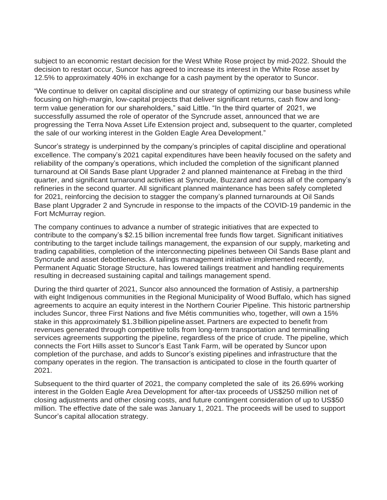subject to an economic restart decision for the West White Rose project by mid-2022. Should the decision to restart occur, Suncor has agreed to increase its interest in the White Rose asset by 12.5% to approximately 40% in exchange for a cash payment by the operator to Suncor.

"We continue to deliver on capital discipline and our strategy of optimizing our base business while focusing on high-margin, low-capital projects that deliver significant returns, cash flow and longterm value generation for our shareholders," said Little. "In the third quarter of 2021, we successfully assumed the role of operator of the Syncrude asset, announced that we are progressing the Terra Nova Asset Life Extension project and, subsequent to the quarter, completed the sale of our working interest in the Golden Eagle Area Development."

Suncor's strategy is underpinned by the company's principles of capital discipline and operational excellence. The company's 2021 capital expenditures have been heavily focused on the safety and reliability of the company's operations, which included the completion of the significant planned turnaround at Oil Sands Base plant Upgrader 2 and planned maintenance at Firebag in the third quarter, and significant turnaround activities at Syncrude, Buzzard and across all of the company's refineries in the second quarter. All significant planned maintenance has been safely completed for 2021, reinforcing the decision to stagger the company's planned turnarounds at Oil Sands Base plant Upgrader 2 and Syncrude in response to the impacts of the COVID-19 pandemic in the Fort McMurray region.

The company continues to advance a number of strategic initiatives that are expected to contribute to the company's \$2.15 billion incremental free funds flow target. Significant initiatives contributing to the target include tailings management, the expansion of our supply, marketing and trading capabilities, completion of the interconnecting pipelines between Oil Sands Base plant and Syncrude and asset debottlenecks. A tailings management initiative implemented recently, Permanent Aquatic Storage Structure, has lowered tailings treatment and handling requirements resulting in decreased sustaining capital and tailings management spend.

During the third quarter of 2021, Suncor also announced the formation of Astisiy, a partnership with eight Indigenous communities in the Regional Municipality of Wood Buffalo, which has signed agreements to acquire an equity interest in the Northern Courier Pipeline. This historic partnership includes Suncor, three First Nations and five Métis communities who, together, will own a 15% stake in this approximately \$1.3 billion pipeline asset. Partners are expected to benefit from revenues generated through competitive tolls from long-term transportation and terminalling services agreements supporting the pipeline, regardless of the price of crude. The pipeline, which connects the Fort Hills asset to Suncor's East Tank Farm, will be operated by Suncor upon completion of the purchase, and adds to Suncor's existing pipelines and infrastructure that the company operates in the region. The transaction is anticipated to close in the fourth quarter of 2021.

Subsequent to the third quarter of 2021, the company completed the sale of its 26.69% working interest in the Golden Eagle Area Development for after-tax proceeds of US\$250 million net of closing adjustments and other closing costs, and future contingent consideration of up to US\$50 million. The effective date of the sale was January 1, 2021. The proceeds will be used to support Suncor's capital allocation strategy.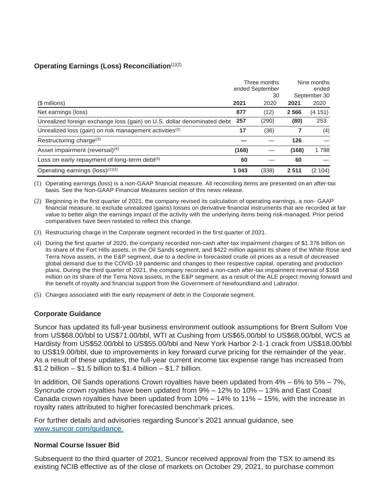## **Operating Earnings (Loss) Reconciliation**(1)(2)

|                                                                         | Three months<br>ended September<br>30 |       | Nine months<br>ended<br>September 30 |        |
|-------------------------------------------------------------------------|---------------------------------------|-------|--------------------------------------|--------|
| (\$ millions)                                                           | 2021                                  | 2020  | 2021                                 | 2020   |
| Net earnings (loss)                                                     | 877                                   | (12)  | 2566                                 | (4151) |
| Unrealized foreign exchange loss (gain) on U.S. dollar denominated debt | 257                                   | (290) | (80)                                 | 253    |
| Unrealized loss (gain) on risk management activities <sup>(2)</sup>     | 17                                    | (36)  |                                      | (4)    |
| Restructuring charge <sup>(3)</sup>                                     |                                       |       | 126                                  |        |
| Asset impairment (reversal) <sup>(4)</sup>                              | (168)                                 |       | (168)                                | 1798   |
| Loss on early repayment of long-term debt <sup>(5)</sup>                | 60                                    |       | 60                                   |        |
| Operating earnings (loss) <sup>(1)(2)</sup>                             | 1 0 4 3                               | (338) | 2511                                 | (2104) |

(1) Operating earnings (loss) is a non-GAAP financial measure. All reconciling items are presented on an after-tax basis. See the Non-GAAP Financial Measures section of this news release.

- (2) Beginning in the first quarter of 2021, the company revised its calculation of operating earnings, a non- GAAP financial measure, to exclude unrealized (gains) losses on derivative financial instruments that are recorded at fair value to better align the earnings impact of the activity with the underlying items being risk-managed. Prior period comparatives have been restated to reflect this change.
- (3) Restructuring charge in the Corporate segment recorded in the first quarter of 2021.
- (4) During the first quarter of 2020, the company recorded non-cash after-tax impairment charges of \$1.376 billion on its share of the Fort Hills assets, in the Oil Sands segment, and \$422 million against its share of the White Rose and Terra Nova assets, in the E&P segment, due to a decline in forecasted crude oil prices as a result of decreased global demand due to the COVID-19 pandemic and changes to their respective capital, operating and production plans. During the third quarter of 2021, the company recorded a non-cash after-tax impairment reversal of \$168 million on its share of the Terra Nova assets, in the E&P segment, as a result of the ALE project moving forward and the benefit of royalty and financial support from the Government of Newfoundland and Labrador.
- (5) Charges associated with the early repayment of debt in the Corporate segment.

## **Corporate Guidance**

Suncor has updated its full-year business environment outlook assumptions for Brent Sullom Voe from US\$68.00/bbl to US\$71.00/bbl, WTI at Cushing from US\$65.00/bbl to US\$68.00/bbl, WCS at Hardisty from US\$52.00/bbl to US\$55.00/bbl and New York Harbor 2-1-1 crack from US\$18.00/bbl to US\$19.00/bbl, due to improvements in key forward curve pricing for the remainder of the year. As a result of these updates, the full-year current income tax expense range has increased from  $$1.2$  billion –  $$1.5$  billion to  $$1.4$  billion –  $$1.7$  billion.

In addition, Oil Sands operations Crown royalties have been updated from 4% – 6% to 5% – 7%, Syncrude crown royalties have been updated from 9% – 12% to 10% – 13% and East Coast Canada crown royalties have been updated from 10% – 14% to 11% – 15%, with the increase in royalty rates attributed to higher forecasted benchmark prices.

For further details and advisories regarding Suncor's 2021 annual guidance, see [www.suncor.com/guidance.](http://www.suncor.com/guidance.)

#### **Normal Course Issuer Bid**

Subsequent to the third quarter of 2021, Suncor received approval from the TSX to amend its existing NCIB effective as of the close of markets on October 29, 2021, to purchase common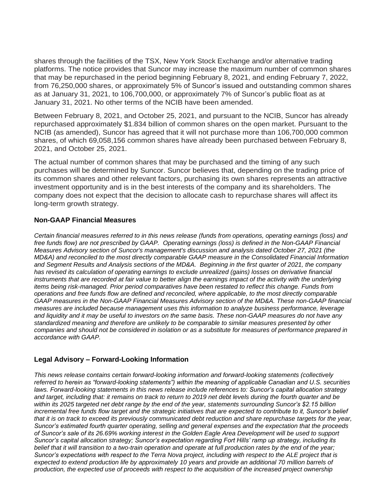shares through the facilities of the TSX, New York Stock Exchange and/or alternative trading platforms. The notice provides that Suncor may increase the maximum number of common shares that may be repurchased in the period beginning February 8, 2021, and ending February 7, 2022, from 76,250,000 shares, or approximately 5% of Suncor's issued and outstanding common shares as at January 31, 2021, to 106,700,000, or approximately 7% of Suncor's public float as at January 31, 2021. No other terms of the NCIB have been amended.

Between February 8, 2021, and October 25, 2021, and pursuant to the NCIB, Suncor has already repurchased approximately \$1.834 billion of common shares on the open market. Pursuant to the NCIB (as amended), Suncor has agreed that it will not purchase more than 106,700,000 common shares, of which 69,058,156 common shares have already been purchased between February 8, 2021, and October 25, 2021.

The actual number of common shares that may be purchased and the timing of any such purchases will be determined by Suncor. Suncor believes that, depending on the trading price of its common shares and other relevant factors, purchasing its own shares represents an attractive investment opportunity and is in the best interests of the company and its shareholders. The company does not expect that the decision to allocate cash to repurchase shares will affect its long-term growth strategy.

## **Non-GAAP Financial Measures**

*Certain financial measures referred to in this news release (funds from operations, operating earnings (loss) and free funds flow) are not prescribed by GAAP. Operating earnings (loss) is defined in the Non-GAAP Financial Measures Advisory section of Suncor's management's discussion and analysis dated October 27, 2021 (the MD&A) and reconciled to the most directly comparable GAAP measure in the Consolidated Financial Information and Segment Results and Analysis sections of the MD&A. Beginning in the first quarter of 2021, the company has revised its calculation of operating earnings to exclude unrealized (gains) losses on derivative financial instruments that are recorded at fair value to better align the earnings impact of the activity with the underlying items being risk-managed. Prior period comparatives have been restated to reflect this change. Funds from operations and free funds flow are defined and reconciled, where applicable, to the most directly comparable GAAP measures in the Non-GAAP Financial Measures Advisory section of the MD&A. These non-GAAP financial measures are included because management uses this information to analyze business performance, leverage and liquidity and it may be useful to investors on the same basis. These non-GAAP measures do not have any standardized meaning and therefore are unlikely to be comparable to similar measures presented by other companies and should not be considered in isolation or as a substitute for measures of performance prepared in accordance with GAAP.*

# **Legal Advisory – Forward-Looking Information**

*This news release contains certain forward-looking information and forward-looking statements (collectively referred to herein as "forward-looking statements") within the meaning of applicable Canadian and U.S. securities laws. Forward-looking statements in this news release include references to: Suncor's capital allocation strategy and target, including that: it remains on track to return to 2019 net debt levels during the fourth quarter and be within its 2025 targeted net debt range by the end of the year, statements surrounding Suncor's \$2.15 billion incremental free funds flow target and the strategic initiatives that are expected to contribute to it, Suncor's belief that it is on track to exceed its previously communicated debt reduction and share repurchase targets for the year, Suncor's estimated fourth quarter operating, selling and general expenses and the expectation that the proceeds of Suncor's sale of its 26.69% working interest in the Golden Eagle Area Development will be used to support Suncor's capital allocation strategy; Suncor's expectation regarding Fort Hills' ramp up strategy, including its belief that it will transition to a two-train operation and operate at full production rates by the end of the year; Suncor's expectations with respect to the Terra Nova project, including with respect to the ALE project that is expected to extend production life by approximately 10 years and provide an additional 70 million barrels of production, the expected use of proceeds with respect to the acquisition of the increased project ownership*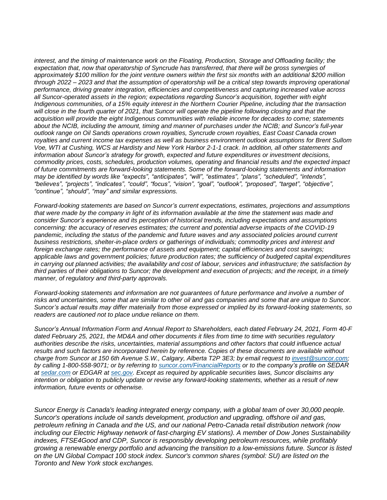*interest, and the timing of maintenance work on the Floating, Production, Storage and Offloading facility; the expectation that, now that operatorship of Syncrude has transferred, that there will be gross synergies of approximately \$100 million for the joint venture owners within the first six months with an additional \$200 million through 2022 – 2023 and that the assumption of operatorship will be a critical step towards improving operational performance, driving greater integration, efficiencies and competitiveness and capturing increased value across all Suncor-operated assets in the region; expectations regarding Suncor's acquisition, together with eight Indigenous communities, of a 15% equity interest in the Northern Courier Pipeline, including that the transaction will close in the fourth quarter of 2021, that Suncor will operate the pipeline following closing and that the acquisition will provide the eight Indigenous communities with reliable income for decades to come; statements about the NCIB, including the amount, timing and manner of purchases under the NCIB; and Suncor's full-year outlook range on Oil Sands operations crown royalties, Syncrude crown royalties, East Coast Canada crown royalties and current income tax expenses as well as business environment outlook assumptions for Brent Sullom Voe, WTI at Cushing, WCS at Hardisty and New York Harbor 2-1-1 crack. In addition, all other statements and information about Suncor's strategy for growth, expected and future expenditures or investment decisions, commodity prices, costs, schedules, production volumes, operating and financial results and the expected impact of future commitments are forward-looking statements. Some of the forward-looking statements and information may be identified by words like "expects", "anticipates", "will", "estimates", "plans", "scheduled", "intends", "believes", "projects", "indicates", "could", "focus", "vision", "goal", "outlook", "proposed", "target", "objective", "continue", "should", "may" and similar expressions.*

*Forward-looking statements are based on Suncor's current expectations, estimates, projections and assumptions that were made by the company in light of its information available at the time the statement was made and consider Suncor's experience and its perception of historical trends, including expectations and assumptions concerning: the accuracy of reserves estimates; the current and potential adverse impacts of the COVID-19 pandemic, including the status of the pandemic and future waves and any associated policies around current business restrictions, shelter-in-place orders or gatherings of individuals; commodity prices and interest and foreign exchange rates; the performance of assets and equipment; capital efficiencies and cost savings; applicable laws and government policies; future production rates; the sufficiency of budgeted capital expenditures in carrying out planned activities; the availability and cost of labour, services and infrastructure; the satisfaction by third parties of their obligations to Suncor; the development and execution of projects; and the receipt, in a timely manner, of regulatory and third-party approvals.*

*Forward-looking statements and information are not guarantees of future performance and involve a number of risks and uncertainties, some that are similar to other oil and gas companies and some that are unique to Suncor. Suncor's actual results may differ materially from those expressed or implied by its forward-looking statements, so readers are cautioned not to place undue reliance on them.*

*Suncor's Annual Information Form and Annual Report to Shareholders, each dated February 24, 2021, Form 40-F dated February 25, 2021, the MD&A and other documents it files from time to time with securities regulatory authorities describe the risks, uncertainties, material assumptions and other factors that could influence actual results and such factors are incorporated herein by reference. Copies of these documents are available without charge from Suncor at 150 6th Avenue S.W., Calgary, Alberta T2P 3E3; by email request to [invest@suncor.com;](mailto:invest@suncor.com) by calling 1-800-558-9071; or by referring to [suncor.com/FinancialReports](http://www.suncor.com/en/investor/429.aspx) or to the company's profile on SEDAR at [sedar.com](http://www.sedar.com/) or EDGAR at [sec.gov.](http://www.sec.gov/) Except as required by applicable securities laws, Suncor disclaims any intention or obligation to publicly update or revise any forward-looking statements, whether as a result of new information, future events or otherwise.*

*Suncor Energy is Canada's leading integrated energy company, with a global team of over 30,000 people. Suncor's operations include oil sands development, production and upgrading, offshore oil and gas, petroleum refining in Canada and the US, and our national Petro-Canada retail distribution network (now including our Electric Highway network of fast-charging EV stations). A member of Dow Jones Sustainability indexes, FTSE4Good and CDP, Suncor is responsibly developing petroleum resources, while profitably growing a renewable energy portfolio and advancing the transition to a low-emissions future. Suncor is listed on the UN Global Compact 100 stock index. Suncor's common shares (symbol: SU) are listed on the Toronto and New York stock exchanges.*